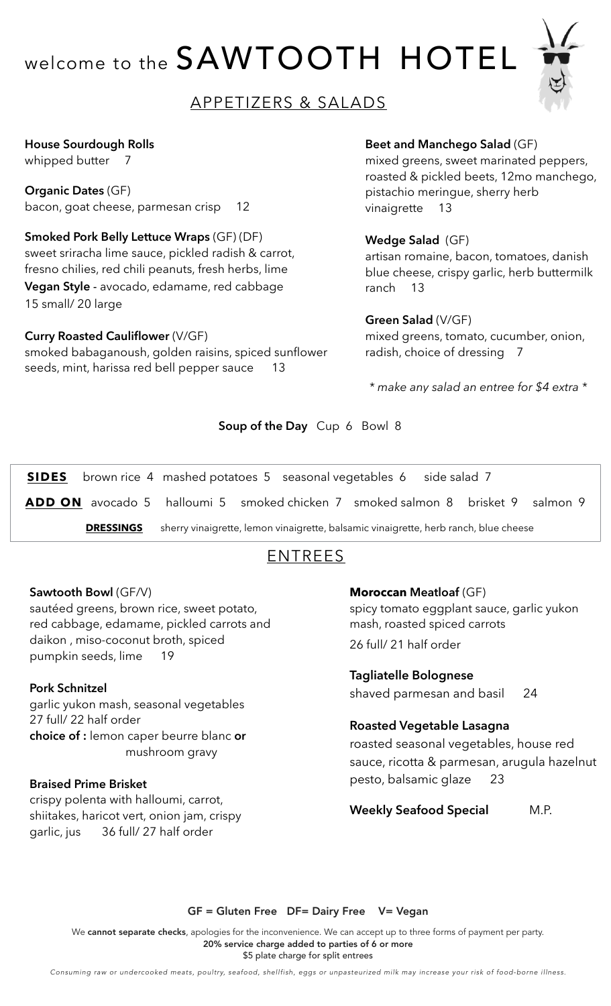# welcome to the SAWTOOTH HOTEL



## APPETIZERS & SALADS

#### **House Sourdough Rolls**

whipped butter 7

**Organic Dates** (GF) bacon, goat cheese, parmesan crisp 12

**Smoked Pork Belly Lettuce Wraps** (GF) (DF) sweet sriracha lime sauce, pickled radish & carrot, fresno chilies, red chili peanuts, fresh herbs, lime **Vegan Style** - avocado, edamame, red cabbage 15 small/ 20 large

#### **Curry Roasted Cauliflower** (V/GF)

smoked babaganoush, golden raisins, spiced sunflower seeds, mint, harissa red bell pepper sauce 13

#### **Beet and Manchego Salad** (GF)

mixed greens, sweet marinated peppers, roasted & pickled beets, 12mo manchego, pistachio meringue, sherry herb vinaigrette 13

#### **Wedge Salad** (GF)

artisan romaine, bacon, tomatoes, danish blue cheese, crispy garlic, herb buttermilk ranch 13

#### **Green Salad** (V/GF)

mixed greens, tomato, cucumber, onion, radish, choice of dressing 7

*\* make any salad an entree for \$4 extra \**

#### **Soup of the Day** Cup 6 Bowl 8

**SIDES** brown rice 4 mashed potatoes 5 seasonal vegetables 6 side salad 7

**ADD ON** avocado 5 halloumi 5 smoked chicken 7 smoked salmon 8 brisket 9 salmon 9

**DRESSINGS** sherry vinaigrette, lemon vinaigrette, balsamic vinaigrette, herb ranch, blue cheese

## ENTREES

#### **Sawtooth Bowl** (GF/V)

sautéed greens, brown rice, sweet potato, red cabbage, edamame, pickled carrots and daikon , miso-coconut broth, spiced pumpkin seeds, lime 19

#### **Pork Schnitzel**

garlic yukon mash, seasonal vegetables 27 full/ 22 half order **choice of :** lemon caper beurre blanc **or** mushroom gravy

#### **Braised Prime Brisket**

crispy polenta with halloumi, carrot, shiitakes, haricot vert, onion jam, crispy garlic, jus 36 full/ 27 half order

#### **Moroccan Meatloaf** (GF)

spicy tomato eggplant sauce, garlic yukon mash, roasted spiced carrots 26 full/ 21 half order

**Tagliatelle Bolognese** shaved parmesan and basil 24

#### **Roasted Vegetable Lasagna**

roasted seasonal vegetables, house red sauce, ricotta & parmesan, arugula hazelnut pesto, balsamic glaze 23

**Weekly Seafood Special** M.P.

GF = Gluten Free DF= Dairy Free V= Vegan

We cannot separate checks, apologies for the inconvenience. We can accept up to three forms of payment per party. 20% service charge added to parties of 6 or more \$5 plate charge for split entrees

*Consuming raw or undercooked meats, poultry, seafood, shellfish, eggs or unpasteurized milk may increase your risk of food-borne illness.*